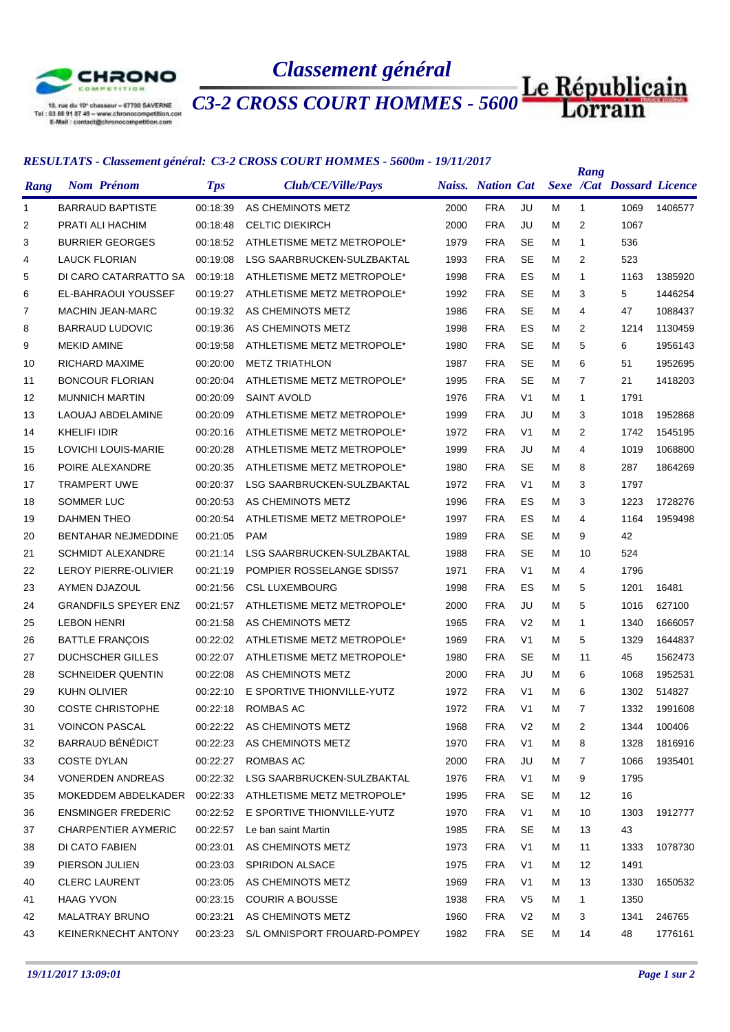

*Classement général*

*C3-2 CROSS COURT HOMMES - 5600m*

## *RESULTATS - Classement général: C3-2 CROSS COURT HOMMES - 5600m - 19/11/2017*

|      | <u>RESULTATS • Cassement general. CS-2 CROSS COURT HOMMES • SOOOM • 19/11/2017</u> |            |                              |      |                          |                |   | Rang           |                                  |         |
|------|------------------------------------------------------------------------------------|------------|------------------------------|------|--------------------------|----------------|---|----------------|----------------------------------|---------|
| Rang | <b>Nom Prénom</b>                                                                  | <b>Tps</b> | Club/CE/Ville/Pays           |      | <b>Naiss.</b> Nation Cat |                |   |                | <b>Sexe /Cat Dossard Licence</b> |         |
| 1    | <b>BARRAUD BAPTISTE</b>                                                            | 00:18:39   | AS CHEMINOTS METZ            | 2000 | <b>FRA</b>               | JU             | м | $\mathbf{1}$   | 1069                             | 1406577 |
| 2    | PRATI ALI HACHIM                                                                   | 00:18:48   | <b>CELTIC DIEKIRCH</b>       | 2000 | <b>FRA</b>               | JU             | м | $\overline{2}$ | 1067                             |         |
| 3    | <b>BURRIER GEORGES</b>                                                             | 00:18:52   | ATHLETISME METZ METROPOLE*   | 1979 | <b>FRA</b>               | <b>SE</b>      | м | $\mathbf{1}$   | 536                              |         |
| 4    | LAUCK FLORIAN                                                                      | 00:19:08   | LSG SAARBRUCKEN-SULZBAKTAL   | 1993 | <b>FRA</b>               | <b>SE</b>      | м | 2              | 523                              |         |
| 5    | DI CARO CATARRATTO SA                                                              | 00:19:18   | ATHLETISME METZ METROPOLE*   | 1998 | <b>FRA</b>               | ES             | м | 1              | 1163                             | 1385920 |
| 6    | EL-BAHRAOUI YOUSSEF                                                                | 00:19:27   | ATHLETISME METZ METROPOLE*   | 1992 | <b>FRA</b>               | <b>SE</b>      | м | 3              | 5                                | 1446254 |
| 7    | <b>MACHIN JEAN-MARC</b>                                                            | 00:19:32   | AS CHEMINOTS METZ            | 1986 | <b>FRA</b>               | <b>SE</b>      | м | 4              | 47                               | 1088437 |
| 8    | <b>BARRAUD LUDOVIC</b>                                                             | 00:19:36   | AS CHEMINOTS METZ            | 1998 | <b>FRA</b>               | ES             | м | 2              | 1214                             | 1130459 |
| 9    | MEKID AMINE                                                                        | 00:19:58   | ATHLETISME METZ METROPOLE*   | 1980 | <b>FRA</b>               | <b>SE</b>      | м | 5              | 6                                | 1956143 |
| 10   | RICHARD MAXIME                                                                     | 00:20:00   | <b>METZ TRIATHLON</b>        | 1987 | <b>FRA</b>               | <b>SE</b>      | м | 6              | 51                               | 1952695 |
| 11   | <b>BONCOUR FLORIAN</b>                                                             | 00:20:04   | ATHLETISME METZ METROPOLE*   | 1995 | <b>FRA</b>               | <b>SE</b>      | м | 7              | 21                               | 1418203 |
| 12   | <b>MUNNICH MARTIN</b>                                                              | 00:20:09   | <b>SAINT AVOLD</b>           | 1976 | <b>FRA</b>               | V <sub>1</sub> | м | 1              | 1791                             |         |
| 13   | <b>LAOUAJ ABDELAMINE</b>                                                           | 00:20:09   | ATHLETISME METZ METROPOLE*   | 1999 | <b>FRA</b>               | JU             | м | 3              | 1018                             | 1952868 |
| 14   | KHELIFI IDIR                                                                       | 00:20:16   | ATHLETISME METZ METROPOLE*   | 1972 | <b>FRA</b>               | V <sub>1</sub> | м | $\overline{2}$ | 1742                             | 1545195 |
| 15   | LOVICHI LOUIS-MARIE                                                                | 00:20:28   | ATHLETISME METZ METROPOLE*   | 1999 | <b>FRA</b>               | JU             | м | 4              | 1019                             | 1068800 |
| 16   | POIRE ALEXANDRE                                                                    | 00:20:35   | ATHLETISME METZ METROPOLE*   | 1980 | <b>FRA</b>               | <b>SE</b>      | м | 8              | 287                              | 1864269 |
| 17   | <b>TRAMPERT UWE</b>                                                                | 00:20:37   | LSG SAARBRUCKEN-SULZBAKTAL   | 1972 | <b>FRA</b>               | V <sub>1</sub> | м | 3              | 1797                             |         |
| 18   | SOMMER LUC                                                                         | 00:20:53   | AS CHEMINOTS METZ            | 1996 | <b>FRA</b>               | ES             | м | 3              | 1223                             | 1728276 |
| 19   | <b>DAHMEN THEO</b>                                                                 | 00:20:54   | ATHLETISME METZ METROPOLE*   | 1997 | <b>FRA</b>               | ES             | м | 4              | 1164                             | 1959498 |
| 20   | BENTAHAR NEJMEDDINE                                                                | 00:21:05   | <b>PAM</b>                   | 1989 | <b>FRA</b>               | <b>SE</b>      | м | 9              | 42                               |         |
| 21   | <b>SCHMIDT ALEXANDRE</b>                                                           | 00:21:14   | LSG SAARBRUCKEN-SULZBAKTAL   | 1988 | <b>FRA</b>               | <b>SE</b>      | м | 10             | 524                              |         |
| 22   | LEROY PIERRE-OLIVIER                                                               | 00:21:19   | POMPIER ROSSELANGE SDIS57    | 1971 | <b>FRA</b>               | V <sub>1</sub> | м | 4              | 1796                             |         |
| 23   | AYMEN DJAZOUL                                                                      | 00:21:56   | <b>CSL LUXEMBOURG</b>        | 1998 | <b>FRA</b>               | ES             | м | 5              | 1201                             | 16481   |
| 24   | <b>GRANDFILS SPEYER ENZ</b>                                                        | 00:21:57   | ATHLETISME METZ METROPOLE*   | 2000 | <b>FRA</b>               | JU             | м | 5              | 1016                             | 627100  |
| 25   | <b>LEBON HENRI</b>                                                                 | 00:21:58   | AS CHEMINOTS METZ            | 1965 | <b>FRA</b>               | V <sub>2</sub> | м | $\mathbf{1}$   | 1340                             | 1666057 |
| 26   | <b>BATTLE FRANÇOIS</b>                                                             | 00:22:02   | ATHLETISME METZ METROPOLE*   | 1969 | <b>FRA</b>               | V <sub>1</sub> | м | 5              | 1329                             | 1644837 |
| 27   | DUCHSCHER GILLES                                                                   | 00:22:07   | ATHLETISME METZ METROPOLE*   | 1980 | <b>FRA</b>               | <b>SE</b>      | м | 11             | 45                               | 1562473 |
| 28   | <b>SCHNEIDER QUENTIN</b>                                                           | 00:22:08   | AS CHEMINOTS METZ            | 2000 | <b>FRA</b>               | JU             | м | 6              | 1068                             | 1952531 |
| 29   | KUHN OLIVIER                                                                       | 00:22:10   | E SPORTIVE THIONVILLE-YUTZ   | 1972 | <b>FRA</b>               | V <sub>1</sub> | м | 6              | 1302                             | 514827  |
| 30   | <b>COSTE CHRISTOPHE</b>                                                            | 00:22:18   | ROMBAS AC                    | 1972 | <b>FRA</b>               | V1             | M | 7              | 1332                             | 1991608 |
| 31   | <b>VOINCON PASCAL</b>                                                              |            | 00:22:22 AS CHEMINOTS METZ   | 1968 | <b>FRA</b>               | V <sub>2</sub> | м | 2              | 1344                             | 100406  |
| 32   | BARRAUD BÉNÉDICT                                                                   | 00:22:23   | AS CHEMINOTS METZ            | 1970 | <b>FRA</b>               | V <sub>1</sub> | м | 8              | 1328                             | 1816916 |
| 33   | <b>COSTE DYLAN</b>                                                                 | 00:22:27   | ROMBAS AC                    | 2000 | <b>FRA</b>               | JU             | м | 7              | 1066                             | 1935401 |
| 34   | <b>VONERDEN ANDREAS</b>                                                            | 00:22:32   | LSG SAARBRUCKEN-SULZBAKTAL   | 1976 | <b>FRA</b>               | V <sub>1</sub> | м | 9              | 1795                             |         |
| 35   | MOKEDDEM ABDELKADER                                                                | 00:22:33   | ATHLETISME METZ METROPOLE*   | 1995 | <b>FRA</b>               | <b>SE</b>      | м | 12             | 16                               |         |
| 36   | <b>ENSMINGER FREDERIC</b>                                                          | 00:22:52   | E SPORTIVE THIONVILLE-YUTZ   | 1970 | <b>FRA</b>               | V <sub>1</sub> | м | 10             | 1303                             | 1912777 |
| 37   | <b>CHARPENTIER AYMERIC</b>                                                         | 00:22:57   | Le ban saint Martin          | 1985 | <b>FRA</b>               | SE             | м | 13             | 43                               |         |
| 38   | DI CATO FABIEN                                                                     | 00:23:01   | AS CHEMINOTS METZ            | 1973 | <b>FRA</b>               | V <sub>1</sub> | м | 11             | 1333                             | 1078730 |
| 39   | PIERSON JULIEN                                                                     | 00:23:03   | <b>SPIRIDON ALSACE</b>       | 1975 | <b>FRA</b>               | V <sub>1</sub> | м | 12             | 1491                             |         |
| 40   | <b>CLERC LAURENT</b>                                                               | 00:23:05   | AS CHEMINOTS METZ            | 1969 | <b>FRA</b>               | V <sub>1</sub> | м | 13             | 1330                             | 1650532 |
| 41   | HAAG YVON                                                                          | 00:23:15   | <b>COURIR A BOUSSE</b>       | 1938 | <b>FRA</b>               | V <sub>5</sub> | м | 1              | 1350                             |         |
| 42   | MALATRAY BRUNO                                                                     | 00:23:21   | AS CHEMINOTS METZ            | 1960 | <b>FRA</b>               | V <sub>2</sub> | м | 3              | 1341                             | 246765  |
| 43   | KEINERKNECHT ANTONY                                                                | 00:23:23   | S/L OMNISPORT FROUARD-POMPEY | 1982 | <b>FRA</b>               | <b>SE</b>      | м | 14             | 48                               | 1776161 |